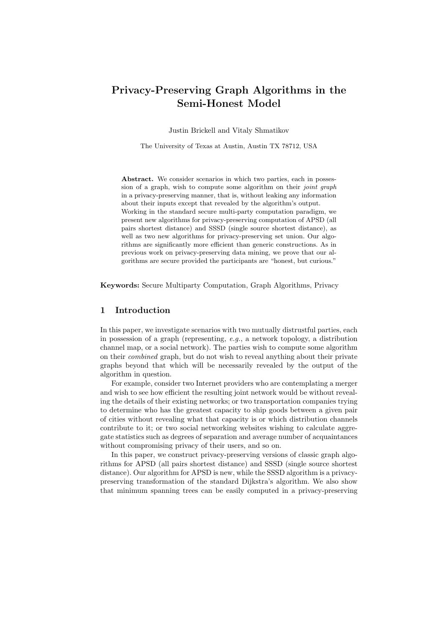# Privacy-Preserving Graph Algorithms in the Semi-Honest Model

Justin Brickell and Vitaly Shmatikov

The University of Texas at Austin, Austin TX 78712, USA

Abstract. We consider scenarios in which two parties, each in possession of a graph, wish to compute some algorithm on their *joint graph* in a privacy-preserving manner, that is, without leaking any information about their inputs except that revealed by the algorithm's output. Working in the standard secure multi-party computation paradigm, we present new algorithms for privacy-preserving computation of APSD (all pairs shortest distance) and SSSD (single source shortest distance), as well as two new algorithms for privacy-preserving set union. Our algorithms are significantly more efficient than generic constructions. As in previous work on privacy-preserving data mining, we prove that our algorithms are secure provided the participants are "honest, but curious."

Keywords: Secure Multiparty Computation, Graph Algorithms, Privacy

## 1 Introduction

In this paper, we investigate scenarios with two mutually distrustful parties, each in possession of a graph (representing, e.g., a network topology, a distribution channel map, or a social network). The parties wish to compute some algorithm on their combined graph, but do not wish to reveal anything about their private graphs beyond that which will be necessarily revealed by the output of the algorithm in question.

For example, consider two Internet providers who are contemplating a merger and wish to see how efficient the resulting joint network would be without revealing the details of their existing networks; or two transportation companies trying to determine who has the greatest capacity to ship goods between a given pair of cities without revealing what that capacity is or which distribution channels contribute to it; or two social networking websites wishing to calculate aggregate statistics such as degrees of separation and average number of acquaintances without compromising privacy of their users, and so on.

In this paper, we construct privacy-preserving versions of classic graph algorithms for APSD (all pairs shortest distance) and SSSD (single source shortest distance). Our algorithm for APSD is new, while the SSSD algorithm is a privacypreserving transformation of the standard Dijkstra's algorithm. We also show that minimum spanning trees can be easily computed in a privacy-preserving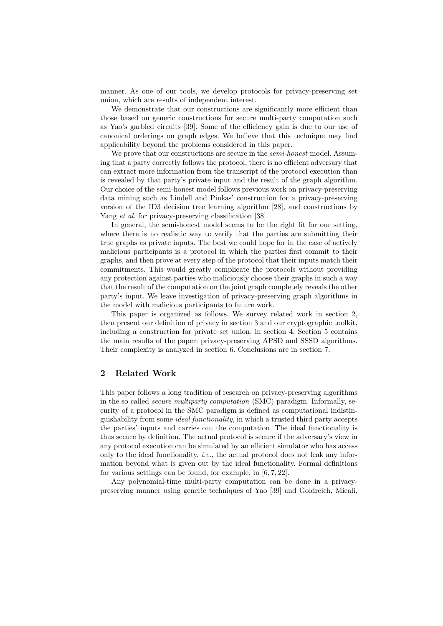manner. As one of our tools, we develop protocols for privacy-preserving set union, which are results of independent interest.

We demonstrate that our constructions are significantly more efficient than those based on generic constructions for secure multi-party computation such as Yao's garbled circuits [39]. Some of the efficiency gain is due to our use of canonical orderings on graph edges. We believe that this technique may find applicability beyond the problems considered in this paper.

We prove that our constructions are secure in the *semi-honest* model. Assuming that a party correctly follows the protocol, there is no efficient adversary that can extract more information from the transcript of the protocol execution than is revealed by that party's private input and the result of the graph algorithm. Our choice of the semi-honest model follows previous work on privacy-preserving data mining such as Lindell and Pinkas' construction for a privacy-preserving version of the ID3 decision tree learning algorithm [28], and constructions by Yang *et al.* for privacy-preserving classification [38].

In general, the semi-honest model seems to be the right fit for our setting, where there is no realistic way to verify that the parties are submitting their true graphs as private inputs. The best we could hope for in the case of actively malicious participants is a protocol in which the parties first commit to their graphs, and then prove at every step of the protocol that their inputs match their commitments. This would greatly complicate the protocols without providing any protection against parties who maliciously choose their graphs in such a way that the result of the computation on the joint graph completely reveals the other party's input. We leave investigation of privacy-preserving graph algorithms in the model with malicious participants to future work.

This paper is organized as follows. We survey related work in section 2, then present our definition of privacy in section 3 and our cryptographic toolkit, including a construction for private set union, in section 4. Section 5 contains the main results of the paper: privacy-preserving APSD and SSSD algorithms. Their complexity is analyzed in section 6. Conclusions are in section 7.

# 2 Related Work

This paper follows a long tradition of research on privacy-preserving algorithms in the so called secure multiparty computation (SMC) paradigm. Informally, security of a protocol in the SMC paradigm is defined as computational indistinguishability from some ideal functionality, in which a trusted third party accepts the parties' inputs and carries out the computation. The ideal functionality is thus secure by definition. The actual protocol is secure if the adversary's view in any protocol execution can be simulated by an efficient simulator who has access only to the ideal functionality, *i.e.*, the actual protocol does not leak any information beyond what is given out by the ideal functionality. Formal definitions for various settings can be found, for example, in [6, 7, 22].

Any polynomial-time multi-party computation can be done in a privacypreserving manner using generic techniques of Yao [39] and Goldreich, Micali,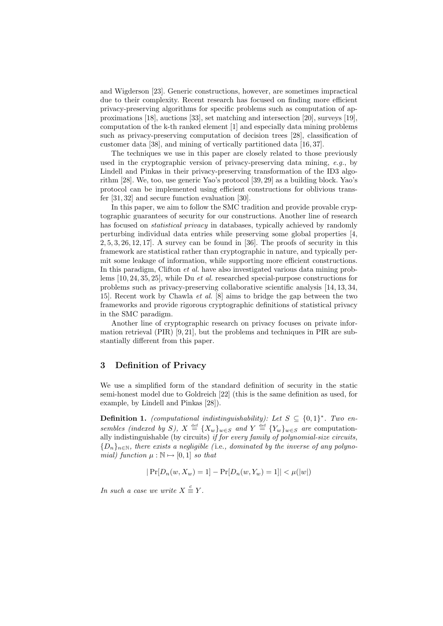and Wigderson [23]. Generic constructions, however, are sometimes impractical due to their complexity. Recent research has focused on finding more efficient privacy-preserving algorithms for specific problems such as computation of approximations [18], auctions [33], set matching and intersection [20], surveys [19], computation of the k-th ranked element [1] and especially data mining problems such as privacy-preserving computation of decision trees [28], classification of customer data [38], and mining of vertically partitioned data [16, 37].

The techniques we use in this paper are closely related to those previously used in the cryptographic version of privacy-preserving data mining, e.g., by Lindell and Pinkas in their privacy-preserving transformation of the ID3 algorithm [28]. We, too, use generic Yao's protocol [39, 29] as a building block. Yao's protocol can be implemented using efficient constructions for oblivious transfer [31, 32] and secure function evaluation [30].

In this paper, we aim to follow the SMC tradition and provide provable cryptographic guarantees of security for our constructions. Another line of research has focused on *statistical privacy* in databases, typically achieved by randomly perturbing individual data entries while preserving some global properties [4,  $2, 5, 3, 26, 12, 17$ . A survey can be found in [36]. The proofs of security in this framework are statistical rather than cryptographic in nature, and typically permit some leakage of information, while supporting more efficient constructions. In this paradigm, Clifton *et al.* have also investigated various data mining problems [10, 24, 35, 25], while Du et al. researched special-purpose constructions for problems such as privacy-preserving collaborative scientific analysis [14, 13, 34, 15]. Recent work by Chawla et al. [8] aims to bridge the gap between the two frameworks and provide rigorous cryptographic definitions of statistical privacy in the SMC paradigm.

Another line of cryptographic research on privacy focuses on private information retrieval (PIR) [9, 21], but the problems and techniques in PIR are substantially different from this paper.

# 3 Definition of Privacy

We use a simplified form of the standard definition of security in the static semi-honest model due to Goldreich [22] (this is the same definition as used, for example, by Lindell and Pinkas [28]).

**Definition 1.** (computational indistinguishability): Let  $S \subseteq \{0,1\}^*$ . Two ensembles (indexed by S),  $X \stackrel{\text{def}}{=} \{X_w\}_{w \in S}$  and  $Y \stackrel{\text{def}}{=} \{Y_w\}_{w \in S}$  are computationally indistinguishable (by circuits) if for every family of polynomial-size circuits,  ${D_n}_{n\in\mathbb{N}}$ , there exists a negligible (i.e., dominated by the inverse of any polynomial) function  $\mu : \mathbb{N} \mapsto [0, 1]$  so that

$$
|\Pr[D_n(w, X_w) = 1] - \Pr[D_n(w, Y_w) = 1]| < \mu(|w|)
$$

In such a case we write  $X \stackrel{c}{\equiv} Y$ .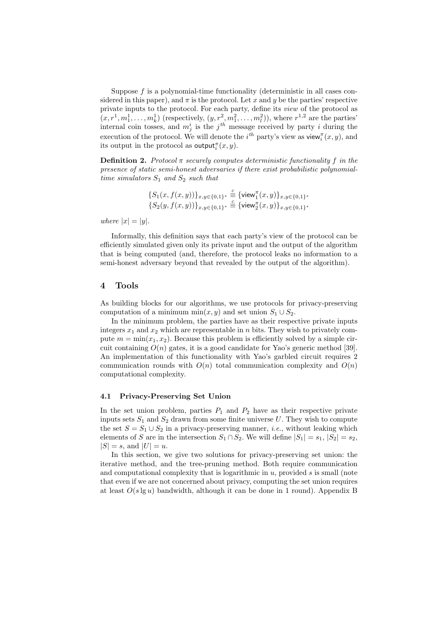Suppose  $f$  is a polynomial-time functionality (deterministic in all cases considered in this paper), and  $\pi$  is the protocol. Let x and y be the parties' respective private inputs to the protocol. For each party, define its view of the protocol as  $(x, r<sup>1</sup>, m<sub>1</sub><sup>1</sup>, ..., m<sub>k</sub><sup>1</sup>)$  (respectively,  $(y, r<sup>2</sup>, m<sub>1</sub><sup>2</sup>, ..., m<sub>l</sub><sup>2</sup>))$ , where  $r<sup>1,2</sup>$  are the parties' internal coin tosses, and  $m_j^i$  is the  $j^{th}$  message received by party i during the execution of the protocol. We will denote the  $i^{th}$  party's view as view<sub>i</sub><sup> $\pi$ </sup> $(x, y)$ , and its output in the protocol as  $\textsf{output}_i^\pi(x, y)$ .

**Definition 2.** Protocol  $\pi$  securely computes deterministic functionality f in the presence of static semi-honest adversaries if there exist probabilistic polynomialtime simulators  $S_1$  and  $S_2$  such that

$$
\{S_1(x, f(x, y))\}_{x, y \in \{0, 1\}^*} \stackrel{c}{=} {\text{View}_1^{\pi}(x, y)}_{x, y \in \{0, 1\}^*}
$$
  

$$
\{S_2(y, f(x, y))\}_{x, y \in \{0, 1\}^*} \stackrel{c}{=} {\text{View}_2^{\pi}(x, y)}_{x, y \in \{0, 1\}^*}
$$

where  $|x| = |y|$ .

Informally, this definition says that each party's view of the protocol can be efficiently simulated given only its private input and the output of the algorithm that is being computed (and, therefore, the protocol leaks no information to a semi-honest adversary beyond that revealed by the output of the algorithm).

## 4 Tools

As building blocks for our algorithms, we use protocols for privacy-preserving computation of a minimum min $(x, y)$  and set union  $S_1 \cup S_2$ .

In the minimum problem, the parties have as their respective private inputs integers  $x_1$  and  $x_2$  which are representable in n bits. They wish to privately compute  $m = \min(x_1, x_2)$ . Because this problem is efficiently solved by a simple circuit containing  $O(n)$  gates, it is a good candidate for Yao's generic method [39]. An implementation of this functionality with Yao's garbled circuit requires 2 communication rounds with  $O(n)$  total communication complexity and  $O(n)$ computational complexity.

## 4.1 Privacy-Preserving Set Union

In the set union problem, parties  $P_1$  and  $P_2$  have as their respective private inputs sets  $S_1$  and  $S_2$  drawn from some finite universe U. They wish to compute the set  $S = S_1 \cup S_2$  in a privacy-preserving manner, *i.e.*, without leaking which elements of S are in the intersection  $S_1 \cap S_2$ . We will define  $|S_1| = s_1$ ,  $|S_2| = s_2$ ,  $|S| = s$ , and  $|U| = u$ .

In this section, we give two solutions for privacy-preserving set union: the iterative method, and the tree-pruning method. Both require communication and computational complexity that is logarithmic in  $u$ , provided s is small (note that even if we are not concerned about privacy, computing the set union requires at least  $O(s \lg u)$  bandwidth, although it can be done in 1 round). Appendix B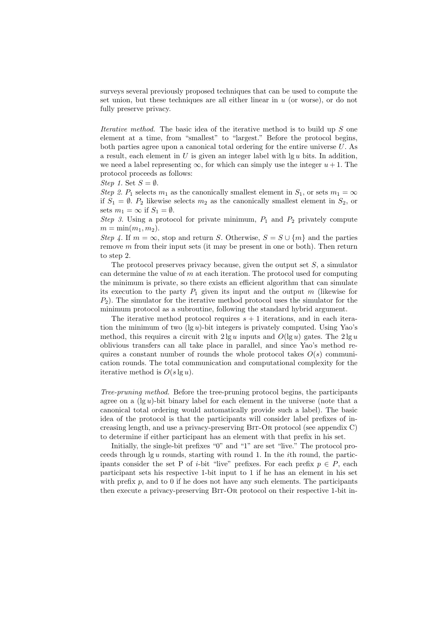surveys several previously proposed techniques that can be used to compute the set union, but these techniques are all either linear in  $u$  (or worse), or do not fully preserve privacy.

Iterative method. The basic idea of the iterative method is to build up S one element at a time, from "smallest" to "largest." Before the protocol begins, both parties agree upon a canonical total ordering for the entire universe U. As a result, each element in U is given an integer label with  $\lg u$  bits. In addition, we need a label representing  $\infty$ , for which can simply use the integer  $u + 1$ . The protocol proceeds as follows:

Step 1. Set  $S = \emptyset$ .

Step 2.  $P_1$  selects  $m_1$  as the canonically smallest element in  $S_1$ , or sets  $m_1 = \infty$ if  $S_1 = \emptyset$ .  $P_2$  likewise selects  $m_2$  as the canonically smallest element in  $S_2$ , or sets  $m_1 = \infty$  if  $S_1 = \emptyset$ .

Step 3. Using a protocol for private minimum,  $P_1$  and  $P_2$  privately compute  $m = \min(m_1, m_2).$ 

Step 4. If  $m = \infty$ , stop and return S. Otherwise,  $S = S \cup \{m\}$  and the parties remove  $m$  from their input sets (it may be present in one or both). Then return to step 2.

The protocol preserves privacy because, given the output set  $S$ , a simulator can determine the value of  $m$  at each iteration. The protocol used for computing the minimum is private, so there exists an efficient algorithm that can simulate its execution to the party  $P_1$  given its input and the output m (likewise for  $P_2$ ). The simulator for the iterative method protocol uses the simulator for the minimum protocol as a subroutine, following the standard hybrid argument.

The iterative method protocol requires  $s + 1$  iterations, and in each iteration the minimum of two  $(\lg u)$ -bit integers is privately computed. Using Yao's method, this requires a circuit with  $2 \lg u$  inputs and  $O(\lg u)$  gates. The  $2 \lg u$ oblivious transfers can all take place in parallel, and since Yao's method requires a constant number of rounds the whole protocol takes  $O(s)$  communication rounds. The total communication and computational complexity for the iterative method is  $O(s \lg u)$ .

Tree-pruning method. Before the tree-pruning protocol begins, the participants agree on a  $(\lg u)$ -bit binary label for each element in the universe (note that a canonical total ordering would automatically provide such a label). The basic idea of the protocol is that the participants will consider label prefixes of increasing length, and use a privacy-preserving Bit-Or protocol (see appendix C) to determine if either participant has an element with that prefix in his set.

Initially, the single-bit prefixes "0" and "1" are set "live." The protocol proceeds through  $\lg u$  rounds, starting with round 1. In the *i*th round, the participants consider the set P of *i*-bit "live" prefixes. For each prefix  $p \in P$ , each participant sets his respective 1-bit input to 1 if he has an element in his set with prefix  $p$ , and to 0 if he does not have any such elements. The participants then execute a privacy-preserving Bit-Or protocol on their respective 1-bit in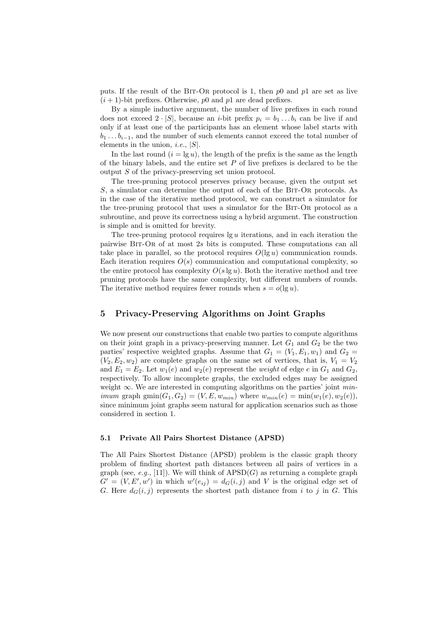puts. If the result of the BIT-OR protocol is 1, then p0 and p1 are set as live  $(i + 1)$ -bit prefixes. Otherwise, p0 and p1 are dead prefixes.

By a simple inductive argument, the number of live prefixes in each round does not exceed  $2 \cdot |S|$ , because an *i*-bit prefix  $p_i = b_1 \dots b_i$  can be live if and only if at least one of the participants has an element whose label starts with  $b_1 \ldots b_{i-1}$ , and the number of such elements cannot exceed the total number of elements in the union, *i.e.*,  $|S|$ .

In the last round  $(i = \lg u)$ , the length of the prefix is the same as the length of the binary labels, and the entire set  $P$  of live prefixes is declared to be the output S of the privacy-preserving set union protocol.

The tree-pruning protocol preserves privacy because, given the output set S, a simulator can determine the output of each of the BIT-OR protocols. As in the case of the iterative method protocol, we can construct a simulator for the tree-pruning protocol that uses a simulator for the BIT-OR protocol as a subroutine, and prove its correctness using a hybrid argument. The construction is simple and is omitted for brevity.

The tree-pruning protocol requires  $\lg u$  iterations, and in each iteration the pairwise Bit-Or of at most 2s bits is computed. These computations can all take place in parallel, so the protocol requires  $O(\lg u)$  communication rounds. Each iteration requires  $O(s)$  communication and computational complexity, so the entire protocol has complexity  $O(s \lg u)$ . Both the iterative method and tree pruning protocols have the same complexity, but different numbers of rounds. The iterative method requires fewer rounds when  $s = o(\lg u)$ .

## 5 Privacy-Preserving Algorithms on Joint Graphs

We now present our constructions that enable two parties to compute algorithms on their joint graph in a privacy-preserving manner. Let  $G_1$  and  $G_2$  be the two parties' respective weighted graphs. Assume that  $G_1 = (V_1, E_1, w_1)$  and  $G_2 =$  $(V_2, E_2, w_2)$  are complete graphs on the same set of vertices, that is,  $V_1 = V_2$ and  $E_1 = E_2$ . Let  $w_1(e)$  and  $w_2(e)$  represent the *weight* of edge e in  $G_1$  and  $G_2$ , respectively. To allow incomplete graphs, the excluded edges may be assigned weight  $\infty$ . We are interested in computing algorithms on the parties' joint *minimum* graph gmin $(G_1, G_2) = (V, E, w_{min})$  where  $w_{min}(e) = min(w_1(e), w_2(e)),$ since minimum joint graphs seem natural for application scenarios such as those considered in section 1.

#### 5.1 Private All Pairs Shortest Distance (APSD)

The All Pairs Shortest Distance (APSD) problem is the classic graph theory problem of finding shortest path distances between all pairs of vertices in a graph (see, e.g., [11]). We will think of  $\text{APSD}(G)$  as returning a complete graph  $G' = (V, E', w')$  in which  $w'(e_{ij}) = d_G(i, j)$  and V is the original edge set of G. Here  $d_G(i, j)$  represents the shortest path distance from i to j in G. This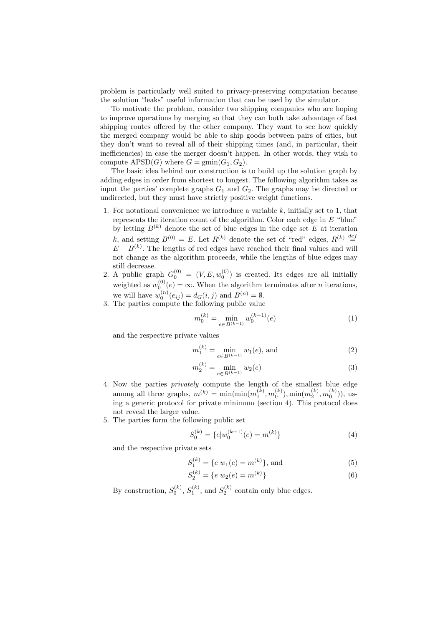problem is particularly well suited to privacy-preserving computation because the solution "leaks" useful information that can be used by the simulator.

To motivate the problem, consider two shipping companies who are hoping to improve operations by merging so that they can both take advantage of fast shipping routes offered by the other company. They want to see how quickly the merged company would be able to ship goods between pairs of cities, but they don't want to reveal all of their shipping times (and, in particular, their inefficiencies) in case the merger doesn't happen. In other words, they wish to compute  $APSD(G)$  where  $G = \text{gmin}(G_1, G_2)$ .

The basic idea behind our construction is to build up the solution graph by adding edges in order from shortest to longest. The following algorithm takes as input the parties' complete graphs  $G_1$  and  $G_2$ . The graphs may be directed or undirected, but they must have strictly positive weight functions.

- 1. For notational convenience we introduce a variable  $k$ , initially set to 1, that represents the iteration count of the algorithm. Color each edge in  $E$  "blue" by letting  $B^{(k)}$  denote the set of blue edges in the edge set E at iteration k, and setting  $B^{(0)} = E$ . Let  $R^{(k)}$  denote the set of "red" edges,  $R^{(k)} \stackrel{def}{=}$  $E - B^{(k)}$ . The lengths of red edges have reached their final values and will not change as the algorithm proceeds, while the lengths of blue edges may still decrease.
- 2. A public graph  $G_0^{(0)} = (V, E, w_0^{(0)})$  is created. Its edges are all initially weighted as  $w_0^{(0)}(e) = \infty$ . When the algorithm terminates after *n* iterations, we will have  $w_0^{(n)}(e_{ij}) = d_G(i,j)$  and  $B^{(n)} = \emptyset$ .
- 3. The parties compute the following public value

$$
m_0^{(k)} = \min_{e \in B^{(k-1)}} w_0^{(k-1)}(e) \tag{1}
$$

and the respective private values

$$
m_1^{(k)} = \min_{e \in B^{(k-1)}} w_1(e), \text{ and } (2)
$$

$$
m_2^{(k)} = \min_{e \in B^{(k-1)}} w_2(e) \tag{3}
$$

- 4. Now the parties privately compute the length of the smallest blue edge among all three graphs,  $m^{(k)} = \min(\min(m_1^{(k)}, m_0^{(k)}), \min(m_2^{(k)}, m_0^{(k)})),$  using a generic protocol for private minimum (section 4). This protocol does not reveal the larger value.
- 5. The parties form the following public set

$$
S_0^{(k)} = \{e|w_0^{(k-1)}(e) = m^{(k)}\}\tag{4}
$$

and the respective private sets

$$
S_1^{(k)} = \{e|w_1(e) = m^{(k)}\}, \text{ and} \tag{5}
$$

$$
S_2^{(k)} = \{e|w_2(e) = m^{(k)}\}\tag{6}
$$

By construction,  $S_0^{(k)}$ ,  $S_1^{(k)}$ , and  $S_2^{(k)}$  contain only blue edges.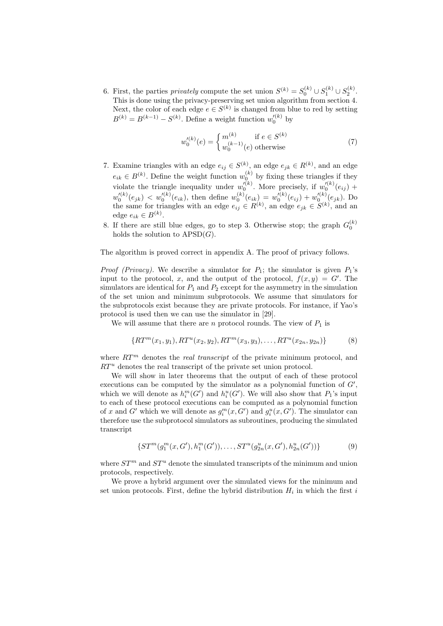6. First, the parties *privately* compute the set union  $S^{(k)} = S_0^{(k)} \cup S_1^{(k)} \cup S_2^{(k)}$ . This is done using the privacy-preserving set union algorithm from section 4. Next, the color of each edge  $e \in S^{(k)}$  is changed from blue to red by setting  $B^{(k)} = B^{(k-1)} - S^{(k)}$ . Define a weight function  $w_0^{\prime (k)}$  by

$$
w_0^{\prime(k)}(e) = \begin{cases} m^{(k)} & \text{if } e \in S^{(k)} \\ w_0^{(k-1)}(e) & \text{otherwise} \end{cases}
$$
(7)

- 7. Examine triangles with an edge  $e_{ij} \in S^{(k)}$ , an edge  $e_{jk} \in R^{(k)}$ , and an edge  $e_{ik} \in B^{(k)}$ . Define the weight function  $w_0^{(k)}$  by fixing these triangles if they violate the triangle inequality under  $w_0^{\prime (k)}$ . More precisely, if  $w_0^{\prime (k)}(e_{ij})$  +  $w_0^{(k)}(e_{jk}) \langle w_0^{(k)}(e_{ik}), \text{ then define } w_0^{(k)}(e_{ik}) = w_0^{(k)}(e_{ij}) + w_0^{(k)}(e_{jk}).$  Do the same for triangles with an edge  $e_{ij} \in R^{(k)}$ , an edge  $e_{jk} \in S^{(k)}$ , and an edge  $e_{ik} \in B^{(k)}$ .
- 8. If there are still blue edges, go to step 3. Otherwise stop; the graph  $G_0^{(k)}$ holds the solution to  $APSD(G)$ .

The algorithm is proved correct in appendix A. The proof of privacy follows.

*Proof (Privacy)*. We describe a simulator for  $P_1$ ; the simulator is given  $P_1$ 's input to the protocol, x, and the output of the protocol,  $f(x, y) = G'$ . The simulators are identical for  $P_1$  and  $P_2$  except for the asymmetry in the simulation of the set union and minimum subprotocols. We assume that simulators for the subprotocols exist because they are private protocols. For instance, if Yao's protocol is used then we can use the simulator in [29].

We will assume that there are n protocol rounds. The view of  $P_1$  is

$$
\{RT^m(x_1, y_1), RT^u(x_2, y_2), RT^m(x_3, y_3), \dots, RT^u(x_{2n}, y_{2n})\}
$$
(8)

where  $RT^m$  denotes the *real transcript* of the private minimum protocol, and  $RT<sup>u</sup>$  denotes the real transcript of the private set union protocol.

We will show in later theorems that the output of each of these protocol executions can be computed by the simulator as a polynomial function of  $G'$ , which we will denote as  $h_i^m(G')$  and  $h_i^u(G')$ . We will also show that  $P_1$ 's input to each of these protocol executions can be computed as a polynomial function of x and G' which we will denote as  $g_i^m(x, G')$  and  $g_i^u(x, G')$ . The simulator can therefore use the subprotocol simulators as subroutines, producing the simulated transcript

$$
\{ST^m(g_1^m(x, G'), h_1^m(G')), \dots, ST^u(g_{2n}^u(x, G'), h_{2n}^u(G'))\}
$$
 (9)

where  $ST<sup>m</sup>$  and  $ST<sup>u</sup>$  denote the simulated transcripts of the minimum and union protocols, respectively.

We prove a hybrid argument over the simulated views for the minimum and set union protocols. First, define the hybrid distribution  $H_i$  in which the first i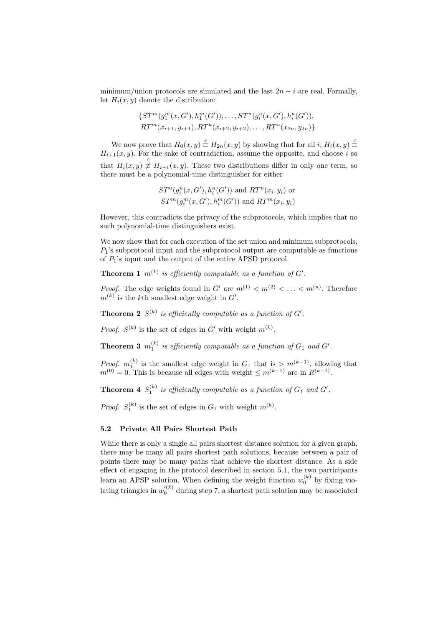minimum/union protocols are simulated and the last  $2n - i$  are real. Formally, let  $H_i(x, y)$  denote the distribution:

$$
\{ST^m(g_1^m(x, G'), h_1^m(G')), \ldots, ST^u(g_i^u(x, G'), h_i^u(G')),
$$
  

$$
RT^m(x_{i+1}, y_{i+1}), RT^u(x_{i+2}, y_{i+2}), \ldots, RT^u(x_{2n}, y_{2n})\}
$$

We now prove that  $H_0(x, y) \stackrel{c}{\equiv} H_{2n}(x, y)$  by showing that for all i,  $H_i(x, y) \stackrel{c}{\equiv}$  $H_{i+1}(x, y)$ . For the sake of contradiction, assume the opposite, and choose i so that  $H_i(x, y) \neq H_{i+1}(x, y)$ . These two distributions differ in only one term, so there must be a polynomial-time distinguisher for either

$$
ST^u(g_i^u(x, G'), h_i^u(G')) \text{ and } RT^u(x_i, y_i) \text{ or}
$$
  

$$
ST^m(g_i^m(x, G'), h_i^m(G')) \text{ and } RT^m(x_i, y_i)
$$

However, this contradicts the privacy of the subprotocols, which implies that no such polynomial-time distinguishers exist.

We now show that for each execution of the set union and minimum subprotocols,  $P_1$ 's subprotocol input and the subprotocol output are computable as functions of  $P_1$ 's input and the output of the entire APSD protocol.

**Theorem 1**  $m^{(k)}$  is efficiently computable as a function of  $G'$ .

*Proof.* The edge weights found in  $G'$  are  $m^{(1)} < m^{(2)} < \ldots < m^{(n)}$ . Therefore  $m^{(k)}$  is the k<sup>th</sup> smallest edge weight in  $G'$ .

**Theorem 2**  $S^{(k)}$  is efficiently computable as a function of  $G'$ .

*Proof.*  $S^{(k)}$  is the set of edges in  $G'$  with weight  $m^{(k)}$ .

**Theorem 3**  $m_1^{(k)}$  is efficiently computable as a function of  $G_1$  and  $G'$ .

*Proof.*  $m_1^{(k)}$  is the smallest edge weight in  $G_1$  that is >  $m^{(k-1)}$ , allowing that  $m^{(0)} = 0$ . This is because all edges with weight  $\leq m^{(k-1)}$  are in  $R^{(k-1)}$ .

**Theorem 4**  $S_1^{(k)}$  is efficiently computable as a function of  $G_1$  and  $G'$ .

*Proof.*  $S_1^{(k)}$  is the set of edges in  $G_1$  with weight  $m^{(k)}$ .

# 5.2 Private All Pairs Shortest Path

While there is only a single all pairs shortest distance solution for a given graph, there may be many all pairs shortest path solutions, because between a pair of points there may be many paths that achieve the shortest distance. As a side effect of engaging in the protocol described in section 5.1, the two participants learn an APSP solution. When defining the weight function  $w_0^{(k)}$  by fixing violating triangles in  $w_0^{\prime (k)}$  during step 7, a shortest path solution may be associated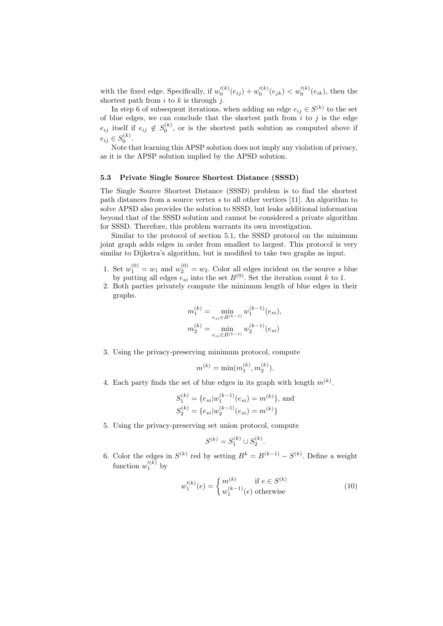with the fixed edge. Specifically, if  $w_0^{\prime(k)}(e_{ij}) + w_0^{\prime(k)}(e_{jk}) < w_0^{\prime(k)}(e_{ik})$ , then the shortest path from  $i$  to  $k$  is through  $j$ .

In step 6 of subsequent iterations, when adding an edge  $e_{ij} \in S^{(k)}$  to the set of blue edges, we can conclude that the shortest path from  $i$  to  $j$  is the edge  $e_{ij}$  itself if  $e_{ij} \notin S_0^{(k)}$ , or is the shortest path solution as computed above if  $e_{ij} \in S_0^{(k)}$ .

Note that learning this APSP solution does not imply any violation of privacy, as it is the APSP solution implied by the APSD solution.

#### 5.3 Private Single Source Shortest Distance (SSSD)

The Single Source Shortest Distance (SSSD) problem is to find the shortest path distances from a source vertex s to all other vertices [11]. An algorithm to solve APSD also provides the solution to SSSD, but leaks additional information beyond that of the SSSD solution and cannot be considered a private algorithm for SSSD. Therefore, this problem warrants its own investigation.

Similar to the protocol of section 5.1, the SSSD protocol on the minimum joint graph adds edges in order from smallest to largest. This protocol is very similar to Dijkstra's algorithm, but is modified to take two graphs as input.

- 1. Set  $w_1^{(0)} = w_1$  and  $w_2^{(0)} = w_2$ . Color all edges incident on the source s blue by putting all edges  $e_{si}$  into the set  $B^{(0)}$ . Set the iteration count k to 1.
- 2. Both parties privately compute the minimum length of blue edges in their graphs.

$$
m_1^{(k)} = \min_{e_{si} \in B^{(k-1)}} w_1^{(k-1)}(e_{si}),
$$
  

$$
m_2^{(k)} = \min_{e_{si} \in B^{(k-1)}} w_2^{(k-1)}(e_{si})
$$

3. Using the privacy-preserving minimum protocol, compute

$$
m^{(k)} = \min(m_1^{(k)}, m_2^{(k)}).
$$

4. Each party finds the set of blue edges in its graph with length  $m^{(k)}$ .

$$
S_1^{(k)} = \{e_{si}|w_1^{(k-1)}(e_{si}) = m^{(k)}\}, \text{ and}
$$
  
\n
$$
S_2^{(k)} = \{e_{si}|w_2^{(k-1)}(e_{si}) = m^{(k)}\}
$$

5. Using the privacy-preserving set union protocol, compute

$$
S^{(k)} = S_1^{(k)} \cup S_2^{(k)}.
$$

6. Color the edges in  $S^{(k)}$  red by setting  $B^k = B^{(k-1)} - S^{(k)}$ . Define a weight function  $w_1^{\prime (k)}$  by

$$
w_1^{\prime(k)}(e) = \begin{cases} m^{(k)} & \text{if } e \in S^{(k)} \\ w_1^{(k-1)}(e) & \text{otherwise} \end{cases}
$$
 (10)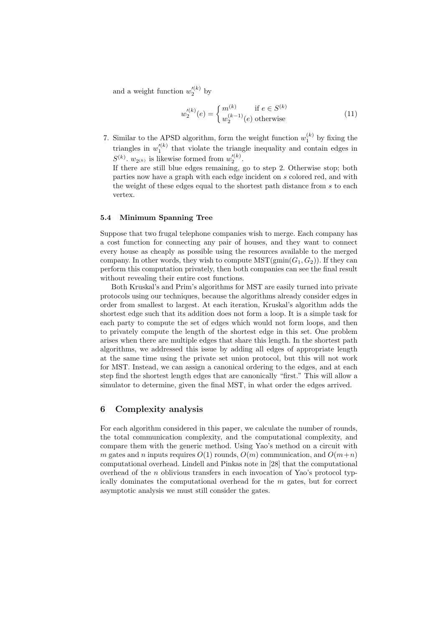and a weight function  $w_2^{\prime(k)}$  by

$$
w_2^{\prime(k)}(e) = \begin{cases} m^{(k)} & \text{if } e \in S^{(k)} \\ w_2^{(k-1)}(e) & \text{otherwise} \end{cases}
$$
 (11)

7. Similar to the APSD algorithm, form the weight function  $w_1^{(k)}$  by fixing the triangles in  $w_1^{\prime (k)}$  that violate the triangle inequality and contain edges in  $S^{(k)}$ .  $w_{2^{(k)}}$  is likewise formed from  $w_2^{\prime (k)}$ .

If there are still blue edges remaining, go to step 2. Otherwise stop; both parties now have a graph with each edge incident on s colored red, and with the weight of these edges equal to the shortest path distance from s to each vertex.

# 5.4 Minimum Spanning Tree

Suppose that two frugal telephone companies wish to merge. Each company has a cost function for connecting any pair of houses, and they want to connect every house as cheaply as possible using the resources available to the merged company. In other words, they wish to compute  $\mathrm{MST}(\mathrm{gmin}(G_1, G_2))$ . If they can perform this computation privately, then both companies can see the final result without revealing their entire cost functions.

Both Kruskal's and Prim's algorithms for MST are easily turned into private protocols using our techniques, because the algorithms already consider edges in order from smallest to largest. At each iteration, Kruskal's algorithm adds the shortest edge such that its addition does not form a loop. It is a simple task for each party to compute the set of edges which would not form loops, and then to privately compute the length of the shortest edge in this set. One problem arises when there are multiple edges that share this length. In the shortest path algorithms, we addressed this issue by adding all edges of appropriate length at the same time using the private set union protocol, but this will not work for MST. Instead, we can assign a canonical ordering to the edges, and at each step find the shortest length edges that are canonically "first." This will allow a simulator to determine, given the final MST, in what order the edges arrived.

# 6 Complexity analysis

For each algorithm considered in this paper, we calculate the number of rounds, the total communication complexity, and the computational complexity, and compare them with the generic method. Using Yao's method on a circuit with m gates and n inputs requires  $O(1)$  rounds,  $O(m)$  communication, and  $O(m+n)$ computational overhead. Lindell and Pinkas note in [28] that the computational overhead of the  $n$  oblivious transfers in each invocation of Yao's protocol typically dominates the computational overhead for the  $m$  gates, but for correct asymptotic analysis we must still consider the gates.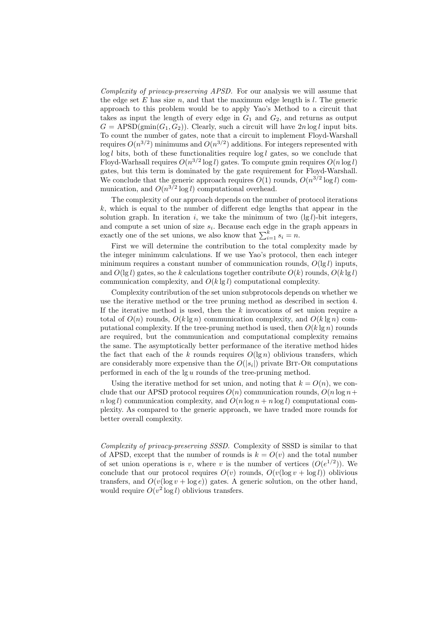Complexity of privacy-preserving APSD. For our analysis we will assume that the edge set E has size n, and that the maximum edge length is l. The generic approach to this problem would be to apply Yao's Method to a circuit that takes as input the length of every edge in  $G_1$  and  $G_2$ , and returns as output  $G = \text{APSD}(\text{gmin}(G_1, G_2))$ . Clearly, such a circuit will have  $2n \log l$  input bits. To count the number of gates, note that a circuit to implement Floyd-Warshall requires  $O(n^{3/2})$  minimums and  $O(n^{3/2})$  additions. For integers represented with  $log l$  bits, both of these functionalities require  $log l$  gates, so we conclude that Floyd-Warhsall requires  $O(n^{3/2} \log l)$  gates. To compute gmin requires  $O(n \log l)$ gates, but this term is dominated by the gate requirement for Floyd-Warshall. We conclude that the generic approach requires  $O(1)$  rounds,  $O(n^{3/2} \log l)$  communication, and  $O(n^{3/2} \log l)$  computational overhead.

The complexity of our approach depends on the number of protocol iterations  $k$ , which is equal to the number of different edge lengths that appear in the solution graph. In iteration  $i$ , we take the minimum of two  $(\lg l)$ -bit integers, and compute a set union of size  $s_i$ . Because each edge in the graph appears in exactly one of the set unions, we also know that  $\sum_{i=1}^{k} s_i = n$ .

First we will determine the contribution to the total complexity made by the integer minimum calculations. If we use Yao's protocol, then each integer minimum requires a constant number of communication rounds,  $O(\lg l)$  inputs, and  $O(\lg l)$  gates, so the k calculations together contribute  $O(k)$  rounds,  $O(k \lg l)$ communication complexity, and  $O(k \lg l)$  computational complexity.

Complexity contribution of the set union subprotocols depends on whether we use the iterative method or the tree pruning method as described in section 4. If the iterative method is used, then the  $k$  invocations of set union require a total of  $O(n)$  rounds,  $O(k \lg n)$  communication complexity, and  $O(k \lg n)$  computational complexity. If the tree-pruning method is used, then  $O(k \lg n)$  rounds are required, but the communication and computational complexity remains the same. The asymptotically better performance of the iterative method hides the fact that each of the k rounds requires  $O(\lg n)$  oblivious transfers, which are considerably more expensive than the  $O(|s_i|)$  private BIT-OR computations performed in each of the  $lg u$  rounds of the tree-pruning method.

Using the iterative method for set union, and noting that  $k = O(n)$ , we conclude that our APSD protocol requires  $O(n)$  communication rounds,  $O(n \log n +$  $n \log l$ ) communication complexity, and  $O(n \log n + n \log l)$  computational complexity. As compared to the generic approach, we have traded more rounds for better overall complexity.

Complexity of privacy-preserving SSSD. Complexity of SSSD is similar to that of APSD, except that the number of rounds is  $k = O(v)$  and the total number of set union operations is v, where v is the number of vertices  $(O(e^{1/2}))$ . We conclude that our protocol requires  $O(v)$  rounds,  $O(v(\log v + \log l))$  oblivious transfers, and  $O(v(\log v + \log e))$  gates. A generic solution, on the other hand, would require  $O(v^2 \log l)$  oblivious transfers.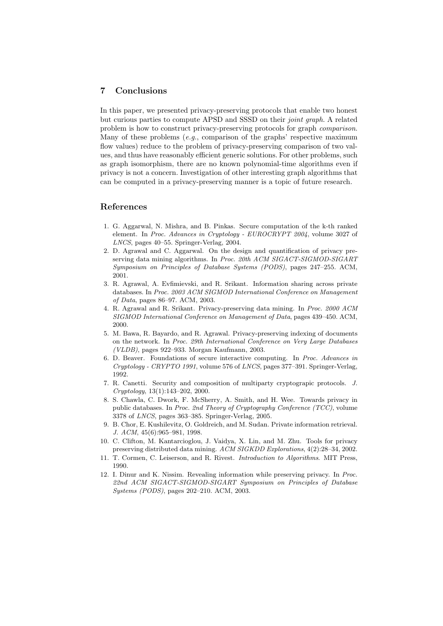# 7 Conclusions

In this paper, we presented privacy-preserving protocols that enable two honest but curious parties to compute APSD and SSSD on their joint graph. A related problem is how to construct privacy-preserving protocols for graph comparison. Many of these problems  $(e,q)$ , comparison of the graphs' respective maximum flow values) reduce to the problem of privacy-preserving comparison of two values, and thus have reasonably efficient generic solutions. For other problems, such as graph isomorphism, there are no known polynomial-time algorithms even if privacy is not a concern. Investigation of other interesting graph algorithms that can be computed in a privacy-preserving manner is a topic of future research.

# References

- 1. G. Aggarwal, N. Mishra, and B. Pinkas. Secure computation of the k-th ranked element. In Proc. Advances in Cryptology - EUROCRYPT 2004, volume 3027 of LNCS, pages 40–55. Springer-Verlag, 2004.
- 2. D. Agrawal and C. Aggarwal. On the design and quantification of privacy preserving data mining algorithms. In Proc. 20th ACM SIGACT-SIGMOD-SIGART Symposium on Principles of Database Systems (PODS), pages 247–255. ACM, 2001.
- 3. R. Agrawal, A. Evfimievski, and R. Srikant. Information sharing across private databases. In Proc. 2003 ACM SIGMOD International Conference on Management of Data, pages 86–97. ACM, 2003.
- 4. R. Agrawal and R. Srikant. Privacy-preserving data mining. In Proc. 2000 ACM SIGMOD International Conference on Management of Data, pages 439–450. ACM, 2000.
- 5. M. Bawa, R. Bayardo, and R. Agrawal. Privacy-preserving indexing of documents on the network. In Proc. 29th International Conference on Very Large Databases (VLDB), pages 922–933. Morgan Kaufmann, 2003.
- 6. D. Beaver. Foundations of secure interactive computing. In Proc. Advances in Cryptology - CRYPTO 1991, volume 576 of LNCS, pages 377–391. Springer-Verlag, 1992.
- 7. R. Canetti. Security and composition of multiparty cryptograpic protocols. J. Cryptology, 13(1):143–202, 2000.
- 8. S. Chawla, C. Dwork, F. McSherry, A. Smith, and H. Wee. Towards privacy in public databases. In Proc. 2nd Theory of Cryptography Conference (TCC), volume 3378 of LNCS, pages 363–385. Springer-Verlag, 2005.
- 9. B. Chor, E. Kushilevitz, O. Goldreich, and M. Sudan. Private information retrieval. J. ACM, 45(6):965–981, 1998.
- 10. C. Clifton, M. Kantarcioglou, J. Vaidya, X. Lin, and M. Zhu. Tools for privacy preserving distributed data mining. ACM SIGKDD Explorations, 4(2):28–34, 2002.
- 11. T. Cormen, C. Leiserson, and R. Rivest. Introduction to Algorithms. MIT Press, 1990.
- 12. I. Dinur and K. Nissim. Revealing information while preserving privacy. In Proc. 22nd ACM SIGACT-SIGMOD-SIGART Symposium on Principles of Database Systems (PODS), pages 202–210. ACM, 2003.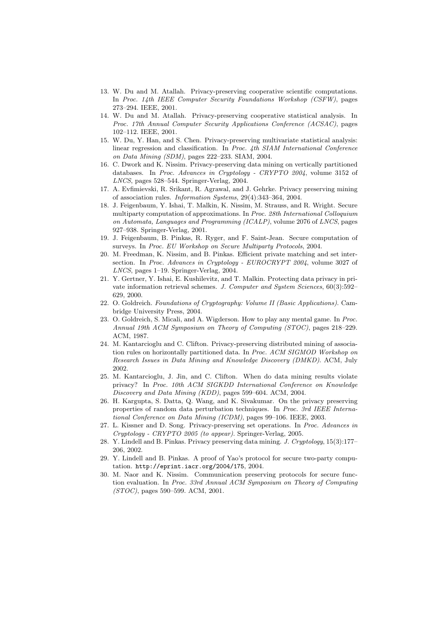- 13. W. Du and M. Atallah. Privacy-preserving cooperative scientific computations. In Proc. 14th IEEE Computer Security Foundations Workshop (CSFW), pages 273–294. IEEE, 2001.
- 14. W. Du and M. Atallah. Privacy-preserving cooperative statistical analysis. In Proc. 17th Annual Computer Security Applications Conference (ACSAC), pages 102–112. IEEE, 2001.
- 15. W. Du, Y. Han, and S. Chen. Privacy-preserving multivariate statistical analysis: linear regression and classification. In Proc. 4th SIAM International Conference on Data Mining (SDM), pages 222–233. SIAM, 2004.
- 16. C. Dwork and K. Nissim. Privacy-preserving data mining on vertically partitioned databases. In Proc. Advances in Cryptology - CRYPTO 2004, volume 3152 of LNCS, pages 528–544. Springer-Verlag, 2004.
- 17. A. Evfimievski, R. Srikant, R. Agrawal, and J. Gehrke. Privacy preserving mining of association rules. Information Systems, 29(4):343–364, 2004.
- 18. J. Feigenbaum, Y. Ishai, T. Malkin, K. Nissim, M. Strauss, and R. Wright. Secure multiparty computation of approximations. In Proc. 28th International Colloquium on Automata, Languages and Programming (ICALP), volume 2076 of LNCS, pages 927–938. Springer-Verlag, 2001.
- 19. J. Feigenbaum, B. Pinkas, R. Ryger, and F. Saint-Jean. Secure computation of surveys. In Proc. EU Workshop on Secure Multiparty Protocols, 2004.
- 20. M. Freedman, K. Nissim, and B. Pinkas. Efficient private matching and set intersection. In Proc. Advances in Cryptology - EUROCRYPT 2004, volume 3027 of LNCS, pages 1–19. Springer-Verlag, 2004.
- 21. Y. Gertner, Y. Ishai, E. Kushilevitz, and T. Malkin. Protecting data privacy in private information retrieval schemes. J. Computer and System Sciences, 60(3):592-629, 2000.
- 22. O. Goldreich. Foundations of Cryptography: Volume II (Basic Applications). Cambridge University Press, 2004.
- 23. O. Goldreich, S. Micali, and A. Wigderson. How to play any mental game. In Proc. Annual 19th ACM Symposium on Theory of Computing (STOC), pages 218–229. ACM, 1987.
- 24. M. Kantarcioglu and C. Clifton. Privacy-preserving distributed mining of association rules on horizontally partitioned data. In Proc. ACM SIGMOD Workshop on Research Issues in Data Mining and Knowledge Discovery (DMKD). ACM, July 2002.
- 25. M. Kantarcioglu, J. Jin, and C. Clifton. When do data mining results violate privacy? In Proc. 10th ACM SIGKDD International Conference on Knowledge Discovery and Data Mining (KDD), pages 599–604. ACM, 2004.
- 26. H. Kargupta, S. Datta, Q. Wang, and K. Sivakumar. On the privacy preserving properties of random data perturbation techniques. In Proc. 3rd IEEE International Conference on Data Mining (ICDM), pages 99–106. IEEE, 2003.
- 27. L. Kissner and D. Song. Privacy-preserving set operations. In Proc. Advances in Cryptology - CRYPTO 2005 (to appear). Springer-Verlag, 2005.
- 28. Y. Lindell and B. Pinkas. Privacy preserving data mining. J. Cryptology, 15(3):177– 206, 2002.
- 29. Y. Lindell and B. Pinkas. A proof of Yao's protocol for secure two-party computation. http://eprint.iacr.org/2004/175, 2004.
- 30. M. Naor and K. Nissim. Communication preserving protocols for secure function evaluation. In Proc. 33rd Annual ACM Symposium on Theory of Computing (STOC), pages 590–599. ACM, 2001.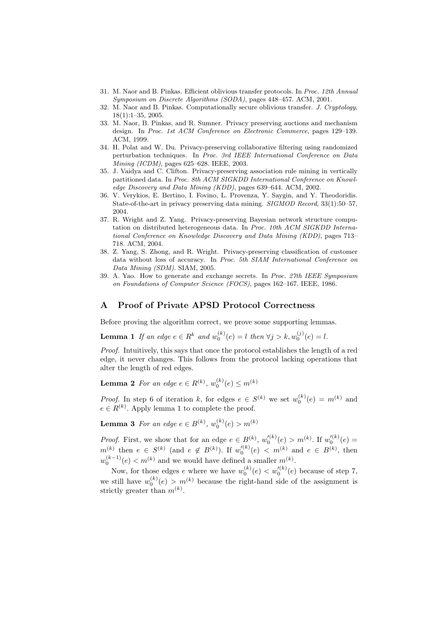- 31. M. Naor and B. Pinkas. Efficient oblivious transfer protocols. In Proc. 12th Annual Symposium on Discrete Algorithms (SODA), pages 448–457. ACM, 2001.
- 32. M. Naor and B. Pinkas. Computationally secure oblivious transfer. J. Cryptology, 18(1):1–35, 2005.
- 33. M. Naor, B. Pinkas, and R. Sumner. Privacy preserving auctions and mechanism design. In Proc. 1st ACM Conference on Electronic Commerce, pages 129–139. ACM, 1999.
- 34. H. Polat and W. Du. Privacy-preserving collaborative filtering using randomized perturbation techniques. In Proc. 3rd IEEE International Conference on Data Mining (ICDM), pages 625–628. IEEE, 2003.
- 35. J. Vaidya and C. Clifton. Privacy-preserving association rule mining in vertically partitioned data. In Proc. 8th ACM SIGKDD International Conference on Knowledge Discovery and Data Mining (KDD), pages 639–644. ACM, 2002.
- 36. V. Verykios, E. Bertino, I. Fovino, L. Provenza, Y. Saygin, and Y. Theodoridis. State-of-the-art in privacy preserving data mining. SIGMOD Record, 33(1):50–57, 2004.
- 37. R. Wright and Z. Yang. Privacy-preserving Bayesian network structure computation on distributed heterogeneous data. In Proc. 10th ACM SIGKDD International Conference on Knowledge Discovery and Data Mining (KDD), pages 713– 718. ACM, 2004.
- 38. Z. Yang, S. Zhong, and R. Wright. Privacy-preserving classification of customer data without loss of accuracy. In Proc. 5th SIAM International Conference on Data Mining (SDM). SIAM, 2005.
- 39. A. Yao. How to generate and exchange secrets. In Proc. 27th IEEE Symposium on Foundations of Computer Science (FOCS), pages 162–167. IEEE, 1986.

# A Proof of Private APSD Protocol Correctness

Before proving the algorithm correct, we prove some supporting lemmas.

**Lemma 1** If an edge  $e \in R^k$  and  $w_0^{(k)}(e) = l$  then  $\forall j > k, w_0^{(j)}(e) = l$ .

Proof. Intuitively, this says that once the protocol establishes the length of a red edge, it never changes. This follows from the protocol lacking operations that alter the length of red edges.

**Lemma 2** For an edge  $e \in R^{(k)}$ ,  $w_0^{(k)}(e) \leq m^{(k)}$ 

*Proof.* In step 6 of iteration k, for edges  $e \in S^{(k)}$  we set  $w_0^{(k)}(e) = m^{(k)}$  and  $e \in R^{(k)}$ . Apply lemma 1 to complete the proof.

**Lemma 3** For an edge  $e \in B^{(k)}$ ,  $w_0^{(k)}(e) > m^{(k)}$ 

*Proof.* First, we show that for an edge  $e \in B^{(k)}$ ,  $w_0'^{(k)}(e) > m^{(k)}$ . If  $w_0'^{(k)}(e) =$  $m^{(k)}$  then  $e \in S^{(k)}$  (and  $e \notin B^{(k)}$ ). If  $w_0^{\prime(k)}(e) < m^{(k)}$  and  $e \in B^{(k)}$ , then  $w_0^{(k-1)}(e) < m^{(k)}$  and we would have defined a smaller  $m^{(k)}$ .

Now, for those edges e where we have  $w_0^{(k)}(e) < w_0''^{(k)}(e)$  because of step 7, we still have  $w_0^{(k)}(e) > m^{(k)}$  because the right-hand side of the assignment is strictly greater than  $m^{(k)}$ .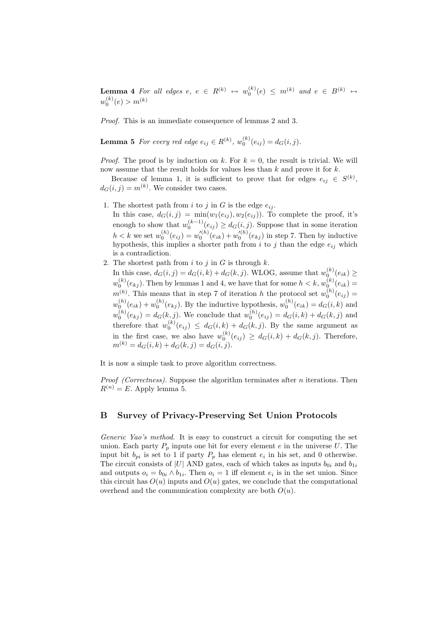**Lemma 4** For all edges  $e, e \in R^{(k)} \leftrightarrow w_0^{(k)}(e) \leq m^{(k)}$  and  $e \in B^{(k)} \leftrightarrow w_0^{(k)}(e)$  $w_0^{(k)}(e) > m^{(k)}$ 

Proof. This is an immediate consequence of lemmas 2 and 3.

**Lemma 5** For every red edge  $e_{ij} \in R^{(k)}$ ,  $w_0^{(k)}(e_{ij}) = d_G(i,j)$ .

*Proof.* The proof is by induction on k. For  $k = 0$ , the result is trivial. We will now assume that the result holds for values less than  $k$  and prove it for  $k$ .

Because of lemma 1, it is sufficient to prove that for edges  $e_{ij} \in S^{(k)}$ ,  $d_G(i, j) = m^{(k)}$ . We consider two cases.

1. The shortest path from i to j in G is the edge  $e_{ij}$ .

In this case,  $d_G(i, j) = \min(w_1(e_{ij}), w_2(e_{ij}))$ . To complete the proof, it's enough to show that  $w_0^{(k-1)}(e_{ij}) \geq d_G(i,j)$ . Suppose that in some iteration  $h < k$  we set  $w_0^{(h)}(e_{ij}) = w_0'^{(h)}(e_{ik}) + w_0'^{(h)}(e_{kj})$  in step 7. Then by inductive hypothesis, this implies a shorter path from i to j than the edge  $e_{ij}$  which is a contradiction.

2. The shortest path from  $i$  to  $j$  in  $G$  is through  $k$ .

In this case,  $d_G(i, j) = d_G(i, k) + d_G(k, j)$ . WLOG, assume that  $w_0^{(k)}(e_{ik}) \ge$  $w_0^{(k)}(e_{kj})$ . Then by lemmas 1 and 4, we have that for some  $h < k$ ,  $w_0^{(k)}(e_{ik}) =$  $m^{(h)}$ . This means that in step 7 of iteration h the protocol set  $w_0^{(h)}(e_{ij}) =$  $w_0^{(h)}(e_{ik}) + w_0^{(h)}(e_{kj})$ . By the inductive hypothesis,  $w_0^{(h)}(e_{ik}) = d_G(i,k)$  and  $w_0^{(h)}(e_{kj}) = d_G(k, j)$ . We conclude that  $w_0^{(h)}(e_{ij}) = d_G(i, k) + d_G(k, j)$  and therefore that  $w_0^{(k)}(e_{ij}) \leq d_G(i,k) + d_G(k,j)$ . By the same argument as in the first case, we also have  $w_0^{(k)}(e_{ij}) \geq d_G(i,k) + d_G(k,j)$ . Therefore,  $m^{(k)} = d_G(i, k) + d_G(k, j) = d_G(i, j).$ 

It is now a simple task to prove algorithm correctness.

*Proof (Correctness)*. Suppose the algorithm terminates after *n* iterations. Then  $R^{(n)} = E$ . Apply lemma 5.

## B Survey of Privacy-Preserving Set Union Protocols

Generic Yao's method. It is easy to construct a circuit for computing the set union. Each party  $P_p$  inputs one bit for every element e in the universe U. The input bit  $b_{pi}$  is set to 1 if party  $P_p$  has element  $e_i$  in his set, and 0 otherwise. The circuit consists of |U| AND gates, each of which takes as inputs  $b_{0i}$  and  $b_{1i}$ and outputs  $o_i = b_{0i} \wedge b_{1i}$ . Then  $o_i = 1$  iff element  $e_i$  is in the set union. Since this circuit has  $O(u)$  inputs and  $O(u)$  gates, we conclude that the computational overhead and the communication complexity are both  $O(u)$ .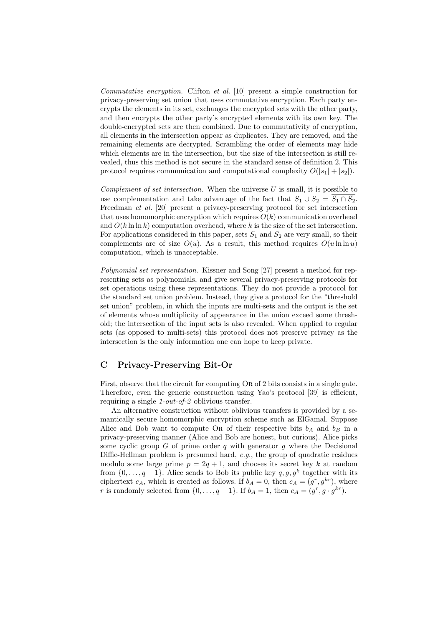Commutative encryption. Clifton et al. [10] present a simple construction for privacy-preserving set union that uses commutative encryption. Each party encrypts the elements in its set, exchanges the encrypted sets with the other party, and then encrypts the other party's encrypted elements with its own key. The double-encrypted sets are then combined. Due to commutativity of encryption, all elements in the intersection appear as duplicates. They are removed, and the remaining elements are decrypted. Scrambling the order of elements may hide which elements are in the intersection, but the size of the intersection is still revealed, thus this method is not secure in the standard sense of definition 2. This protocol requires communication and computational complexity  $O(|s_1| + |s_2|)$ .

Complement of set intersection. When the universe  $U$  is small, it is possible to use complementation and take advantage of the fact that  $S_1 \cup S_2 = \overline{S_1 \cap S_2}$ . Freedman et al. [20] present a privacy-preserving protocol for set intersection that uses homomorphic encryption which requires  $O(k)$  communication overhead and  $O(k \ln \ln k)$  computation overhead, where k is the size of the set intersection. For applications considered in this paper, sets  $S_1$  and  $S_2$  are very small, so their complements are of size  $O(u)$ . As a result, this method requires  $O(u \ln \ln u)$ computation, which is unacceptable.

Polynomial set representation. Kissner and Song [27] present a method for representing sets as polynomials, and give several privacy-preserving protocols for set operations using these representations. They do not provide a protocol for the standard set union problem. Instead, they give a protocol for the "threshold set union" problem, in which the inputs are multi-sets and the output is the set of elements whose multiplicity of appearance in the union exceed some threshold; the intersection of the input sets is also revealed. When applied to regular sets (as opposed to multi-sets) this protocol does not preserve privacy as the intersection is the only information one can hope to keep private.

## C Privacy-Preserving Bit-Or

First, observe that the circuit for computing OR of 2 bits consists in a single gate. Therefore, even the generic construction using Yao's protocol [39] is efficient, requiring a single 1-out-of-2 oblivious transfer.

An alternative construction without oblivious transfers is provided by a semantically secure homomorphic encryption scheme such as ElGamal. Suppose Alice and Bob want to compute OR of their respective bits  $b<sub>A</sub>$  and  $b<sub>B</sub>$  in a privacy-preserving manner (Alice and Bob are honest, but curious). Alice picks some cyclic group G of prime order q with generator q where the Decisional Diffie-Hellman problem is presumed hard, e.g., the group of quadratic residues modulo some large prime  $p = 2q + 1$ , and chooses its secret key k at random from  $\{0, \ldots, q-1\}$ . Alice sends to Bob its public key  $q, g, g^k$  together with its ciphertext  $c_A$ , which is created as follows. If  $b_A = 0$ , then  $c_A = (g^r, g^{kr})$ , where r is randomly selected from  $\{0, \ldots, q-1\}$ . If  $b_A = 1$ , then  $c_A = (g^r, g \cdot g^{kr})$ .